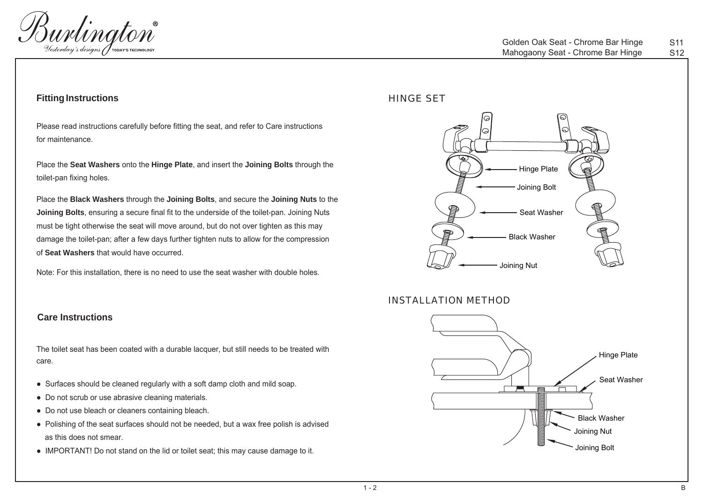

### **Fitting Instructions**

Please read instructions carefully before fitting the seat, and refer to Care instructions for maintenance.

Place the **Seat Washers** onto the **Hinge Plate**, and insert the **Joining Bolts** through the toilet-pan fixing holes.

Place the **Black Washers** through the **Joining Bolts**, and secure the **Joining Nuts** to the **Joining Bolts**, ensuring a secure final fit to the underside of the toilet-pan. Joining Nuts must be tight otherwise the seat will move around, but do not over tighten as this may damage the toilet-pan; after a few days further tighten nuts to allow for the compression of **Seat Washers** that would have occurred.

Note: For this installation, there is no need to use the seat washer with double holes.

#### **Care Instructions**

The toilet seat has been coated with a durable lacquer, but still needs to be treated with care.

- Surfaces should be cleaned regularly with a soft damp cloth and mild soap.
- Do not scrub or use abrasive cleaning materials.
- Do not use bleach or cleaners containing bleach.
- Polishing of the seat surfaces should not be needed, but a wax free polish is advised as this does not smear.
- IMPORTANT! Do not stand on the lid or toilet seat; this may cause damage to it.

### HINGE SET



#### INSTALLATION METHOD